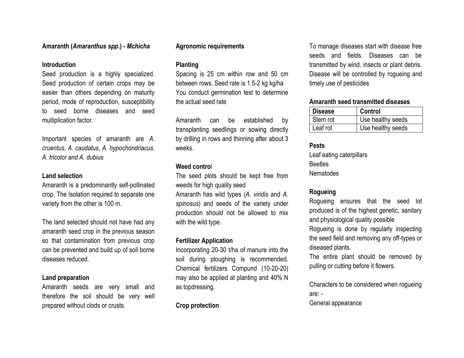#### **Amaranth (***Amaranthus spp***.) -** *Mchicha*

#### **Introduction**

Seed production is a highly specialized. Seed production of certain crops may be easier than others depending on maturity period, mode of reproduction, susceptibility to seed borne diseases and seed multiplication factor.

Important species of amaranth are *A. cruentus*, *A. caudatus, A. hypochondriacus. A. tricolor and A. dubius*

#### **Land selection**

Amaranth is a predominantly self-pollinated crop. The Isolation required to separate one variety from the other is 100 m.

The land selected should not have had any amaranth seed crop in the previous season so that contamination from previous crop can be prevented and build up of soil borne diseases reduced.

#### **Land preparation**

Amaranth seeds are very small and therefore the soil should be very well prepared without clods or crusts.

#### **Agronomic requirements**

#### **Planting**

Spacing is 25 cm within row and 50 cm between rows. Seed rate is 1.5-2 kg kg/ha You conduct germination test to determine the actual seed rate

Amaranth can be established by transplanting seedlings or sowing directly by drilling in rows and thinning after about 3 weeks.

#### **Weed contro**l

The seed plots should be kept free from weeds for high quality seed

Amaranth has wild types (*A. viridis* and *A. spinosus*) and seeds of the variety under production should not be allowed to mix with the wild type.

#### **Fertilizer Application**

Incorporating 20-30 t/ha of manure into the soil during ploughing is recommended. Chemical fertilizers Compund (10-20-20) may also be applied at planting and 40% N as topdressing.

#### **Crop protection**

To manage diseases start with disease free seeds and fields. Diseases can be transmitted by wind, insects or plant debris. Disease will be controlled by rogueing and timely use of pesticides

#### **Amaranth seed transmitted diseases**

| <b>Disease</b> | <b>Control</b>    |
|----------------|-------------------|
| Stem rot       | Use healthy seeds |
| Leaf rot       | Use healthy seeds |

#### **Pests** Leaf eating caterpillars **Beetles** Nematodes

#### **Rogueing**

Rogueing ensures that the seed lot produced is of the highest genetic, sanitary and physiological quality possible Rogueing is done by regularly inspecting the seed field and removing any off-types or diseased plants.

The entire plant should be removed by pulling or cutting before it flowers.

Characters to be considered when rogueing are: -

General appearance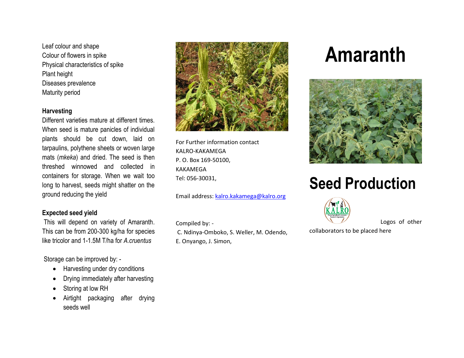Leaf colour and shape Colour of flowers in spike Physical characteristics of spike Plant height Diseases prevalence Maturity period

#### **Harvesting**

Different varieties mature at different times. When seed is mature panicles of individual plants should be cut down, laid on tarpaulins, polythene sheets or woven large mats (*mkeka*) and dried. The seed is then threshed winnowed and collected in containers for storage. When we wait too long to harvest, seeds might shatter on the ground reducing the yield

#### **Expected seed yield**

This will depend on variety of Amaranth. This can be from 200-300 kg/ha for species like tricolor and 1-1.5M T/ha for *A.cruentus*

Storage can be improved by: -

- Harvesting under dry conditions
- Drying immediately after harvesting
- Storing at low RH
- Airtight packaging after drying seeds well



For Further information contact KALRO-KAKAMEGA P. O. Box 169-50100, KAKAMEGA Tel: 056-30031,

Email address: [kalro.kakamega@kalro.org](mailto:kalro.kakamega@kalro.org)

Compiled by: -

C. Ndinya-Omboko, S. Weller, M. Odendo, E. Onyango, J. Simon,

## **Amaranth**



## **Seed Production**



Logos of other

collaborators to be placed here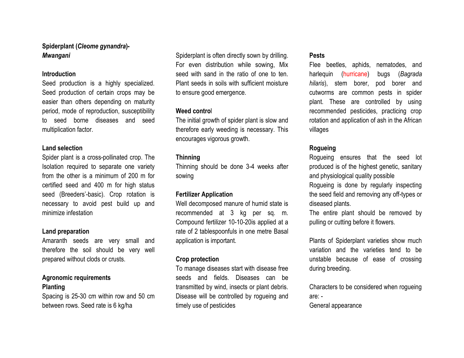#### **Spiderplant (***Cleome gynandra***)-**  *Mwangani*

#### **Introduction**

Seed production is a highly specialized. Seed production of certain crops may be easier than others depending on maturity period, mode of reproduction, susceptibility to seed borne diseases and seed multiplication factor.

#### **Land selection**

Spider plant is a cross-pollinated crop. The Isolation required to separate one variety from the other is a minimum of 200 m for certified seed and 400 m for high status seed (Breeders'-basic). Crop rotation is necessary to avoid pest build up and minimize infestation

#### **Land preparation**

Amaranth seeds are very small and therefore the soil should be very well prepared without clods or crusts.

#### **Agronomic requirements Planting**

Spacing is 25-30 cm within row and 50 cm between rows. Seed rate is 6 kg/ha

Spiderplant is often directly sown by drilling. For even distribution while sowing, Mix seed with sand in the ratio of one to ten. Plant seeds in soils with sufficient moisture to ensure good emergence.

#### **Weed contro**l

The initial growth of spider plant is slow and therefore early weeding is necessary. This encourages vigorous growth.

#### **Thinning**

Thinning should be done 3-4 weeks after sowing

#### **Fertilizer Application**

Well decomposed manure of humid state is recommended at 3 kg per sq. m. Compound fertilizer 10-10-20is applied at a rate of 2 tablespoonfuls in one metre Basal application is important.

#### **Crop protection**

To manage diseases start with disease free seeds and fields. Diseases can be transmitted by wind, insects or plant debris. Disease will be controlled by rogueing and timely use of pesticides

#### **Pests**

Flee beetles, aphids, nematodes, and harlequin (hurricane) bugs (*Bagrada hilaris*), stem borer, pod borer and cutworms are common pests in spider plant. These are controlled by using recommended pesticides, practicing crop rotation and application of ash in the African villages

#### **Rogueing**

Rogueing ensures that the seed lot produced is of the highest genetic, sanitary and physiological quality possible

Rogueing is done by regularly inspecting the seed field and removing any off-types or diseased plants.

The entire plant should be removed by pulling or cutting before it flowers.

Plants of Spiderplant varieties show much variation and the varieties tend to be unstable because of ease of crossing during breeding.

Characters to be considered when rogueing are: -

General appearance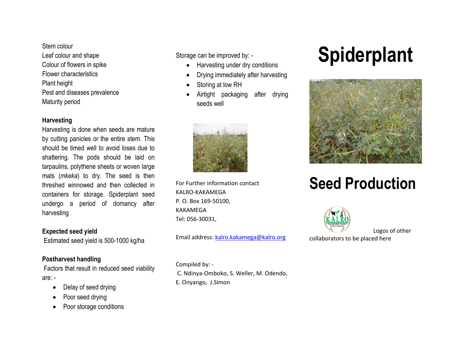Stem colour Leaf colour and shape Colour of flowers in spike Flower characteristics Plant height Pest and diseases prevalence Maturity period

#### **Harvesting**

Harvesting is done when seeds are mature by cutting panicles or the entire stem. This should be timed well to avoid loses due to shattering. The pods should be laid on tarpaulins, polythene sheets or woven large mats (*mkeka*) to dry. The seed is then threshed winnowed and then collected in containers for storage. Spiderplant seed undergo a period of domancy after harvesting

#### **Expected seed yield**

Estimated seed yield is 500-1000 kg/ha

#### **Postharvest handling**

Factors that result in reduced seed viability are: -

- Delay of seed drying
- Poor seed drying
- Poor storage conditions

Storage can be improved by: -

- Harvesting under dry conditions
- Drying immediately after harvesting
- Storing at low RH
- Airtight packaging after drying seeds well



For Further information contact KALRO-KAKAMEGA P. O. Box 169-50100, KAKAMEGA Tel: 056-30031,

Email address: [kalro.kakamega@kalro.org](mailto:kalro.kakamega@kalro.org)

Compiled by: - C. Ndinya-Omboko, S. Weller, M. Odendo, E. Onyango, J.Simon

# **Spiderplant**



### **Seed Production**



Logos of other

collaborators to be placed here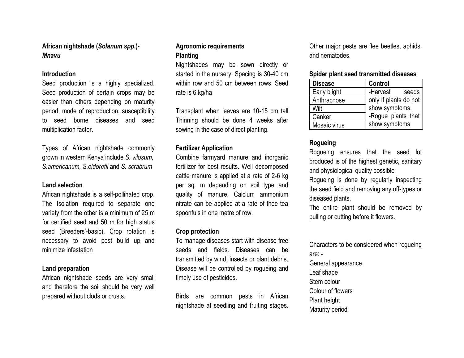**African nightshade (***Solanum spp***.)-** *Mnavu*

#### **Introduction**

Seed production is a highly specialized. Seed production of certain crops may be easier than others depending on maturity period, mode of reproduction, susceptibility to seed borne diseases and seed multiplication factor.

Types of African nightshade commonly grown in western Kenya include *S. vilosum, S.americanum, S.eldoretii* and *S. scrabrum*

#### **Land selection**

African nightshade is a self-pollinated crop. The Isolation required to separate one variety from the other is a minimum of 25 m for certified seed and 50 m for high status seed (Breeders'-basic). Crop rotation is necessary to avoid pest build up and minimize infestation

#### **Land preparation**

African nightshade seeds are very small and therefore the soil should be very well prepared without clods or crusts.

#### **Agronomic requirements Planting**

Nightshades may be sown directly or started in the nursery. Spacing is 30-40 cm within row and 50 cm between rows. Seed rate is 6 kg/ha

Transplant when leaves are 10-15 cm tall Thinning should be done 4 weeks after sowing in the case of direct planting.

#### **Fertilizer Application**

Combine farmyard manure and inorganic fertilizer for best results. Well decomposed cattle manure is applied at a rate of 2-6 kg per sq. m depending on soil type and quality of manure. Calcium ammonium nitrate can be applied at a rate of thee tea spoonfuls in one metre of row.

#### **Crop protection**

To manage diseases start with disease free seeds and fields. Diseases can be transmitted by wind, insects or plant debris. Disease will be controlled by rogueing and timely use of pesticides.

Birds are common pests in African nightshade at seedling and fruiting stages. Other major pests are flee beetles, aphids, and nematodes.

#### **Spider plant seed transmitted diseases**

| <b>Disease</b> | <b>Control</b>        |
|----------------|-----------------------|
| Early blight   | -Harvest<br>seeds     |
| Anthracnose    | only if plants do not |
| Wilt           | show symptoms.        |
| Canker         | -Rogue plants that    |
| Mosaic virus   | show symptoms         |

#### **Rogueing**

Rogueing ensures that the seed lot produced is of the highest genetic, sanitary and physiological quality possible

Rogueing is done by regularly inspecting the seed field and removing any off-types or diseased plants.

The entire plant should be removed by pulling or cutting before it flowers.

Characters to be considered when rogueing are: -

- General appearance Leaf shape
- Stem colour
- Colour of flowers
- Plant height
- Maturity period